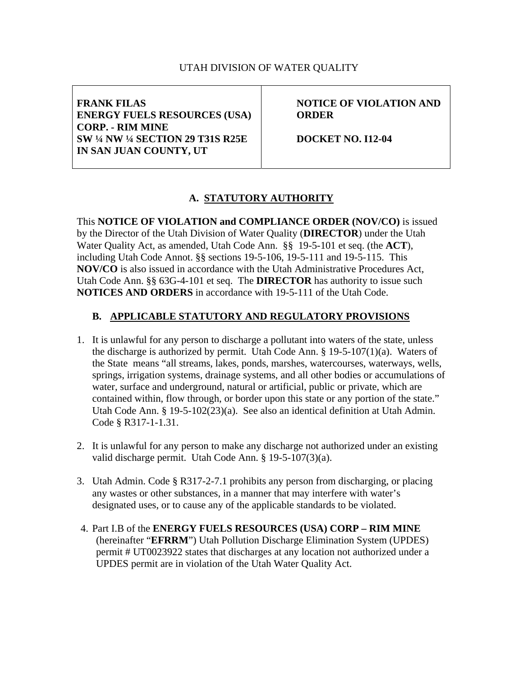#### UTAH DIVISION OF WATER QUALITY

**FRANK FILAS ENERGY FUELS RESOURCES (USA) CORP. - RIM MINE SW ¼ NW ¼ SECTION 29 T31S R25E IN SAN JUAN COUNTY, UT** 

 **NOTICE OF VIOLATION AND ORDER** 

 **DOCKET NO. I12-04** 

## **A. STATUTORY AUTHORITY**

This **NOTICE OF VIOLATION and COMPLIANCE ORDER (NOV/CO)** is issued by the Director of the Utah Division of Water Quality (**DIRECTOR**) under the Utah Water Quality Act, as amended, Utah Code Ann. §§ 19-5-101 et seq. (the **ACT**), including Utah Code Annot. §§ sections 19-5-106, 19-5-111 and 19-5-115. This **NOV/CO** is also issued in accordance with the Utah Administrative Procedures Act, Utah Code Ann. §§ 63G-4-101 et seq. The **DIRECTOR** has authority to issue such **NOTICES AND ORDERS** in accordance with 19-5-111 of the Utah Code.

#### **B. APPLICABLE STATUTORY AND REGULATORY PROVISIONS**

- 1. It is unlawful for any person to discharge a pollutant into waters of the state, unless the discharge is authorized by permit. Utah Code Ann. § 19-5-107(1)(a). Waters of the State means "all streams, lakes, ponds, marshes, watercourses, waterways, wells, springs, irrigation systems, drainage systems, and all other bodies or accumulations of water, surface and underground, natural or artificial, public or private, which are contained within, flow through, or border upon this state or any portion of the state." Utah Code Ann. § 19-5-102(23)(a). See also an identical definition at Utah Admin. Code § R317-1-1.31.
- 2. It is unlawful for any person to make any discharge not authorized under an existing valid discharge permit. Utah Code Ann. § 19-5-107(3)(a).
- 3. Utah Admin. Code § R317-2-7.1 prohibits any person from discharging, or placing any wastes or other substances, in a manner that may interfere with water's designated uses, or to cause any of the applicable standards to be violated.
- 4. Part I.B of the **ENERGY FUELS RESOURCES (USA) CORP RIM MINE**  (hereinafter "**EFRRM**") Utah Pollution Discharge Elimination System (UPDES) permit # UT0023922 states that discharges at any location not authorized under a UPDES permit are in violation of the Utah Water Quality Act.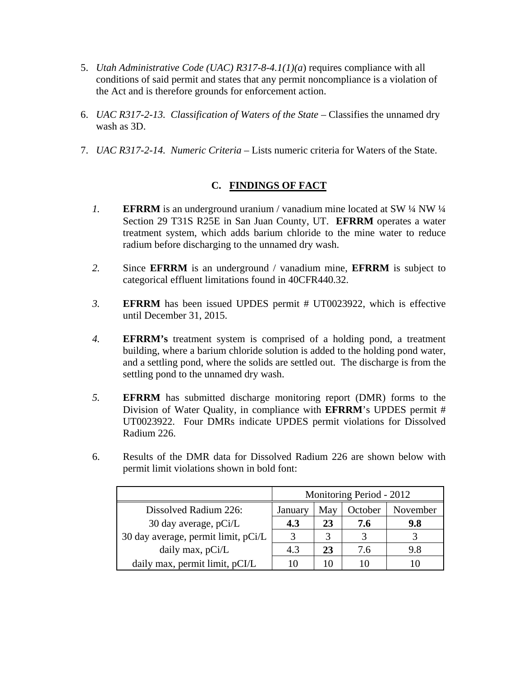- 5. *Utah Administrative Code (UAC) R317-8-4.1(1)(a*) requires compliance with all conditions of said permit and states that any permit noncompliance is a violation of the Act and is therefore grounds for enforcement action.
- 6. *UAC R317-2-13. Classification of Waters of the State Classifies the unnamed dry* wash as 3D.
- 7. *UAC R317-2-14. Numeric Criteria* Lists numeric criteria for Waters of the State.

## **C. FINDINGS OF FACT**

- *1.* **EFRRM** is an underground uranium / vanadium mine located at SW ¼ NW ¼ Section 29 T31S R25E in San Juan County, UT. **EFRRM** operates a water treatment system, which adds barium chloride to the mine water to reduce radium before discharging to the unnamed dry wash.
- *2.* Since **EFRRM** is an underground / vanadium mine, **EFRRM** is subject to categorical effluent limitations found in 40CFR440.32.
- *3.* **EFRRM** has been issued UPDES permit # UT0023922, which is effective until December 31, 2015.
- *4.* **EFRRM's** treatment system is comprised of a holding pond, a treatment building, where a barium chloride solution is added to the holding pond water, and a settling pond, where the solids are settled out. The discharge is from the settling pond to the unnamed dry wash.
- *5.* **EFRRM** has submitted discharge monitoring report (DMR) forms to the Division of Water Quality, in compliance with **EFRRM**'s UPDES permit # UT0023922. Four DMRs indicate UPDES permit violations for Dissolved Radium 226.
- 6. Results of the DMR data for Dissolved Radium 226 are shown below with permit limit violations shown in bold font:

|                                     | Monitoring Period - 2012 |               |         |          |
|-------------------------------------|--------------------------|---------------|---------|----------|
| Dissolved Radium 226:               | January                  | May           | October | November |
| 30 day average, pCi/L               | 4.3                      | 23            | 7.6     | 9.8      |
| 30 day average, permit limit, pCi/L |                          | $\mathcal{R}$ |         |          |
| daily max, $pCi/L$                  | 4.3                      | 23            | 7.6     | 9.8      |
| daily max, permit limit, pCI/L      | 10                       | 10            | 10      |          |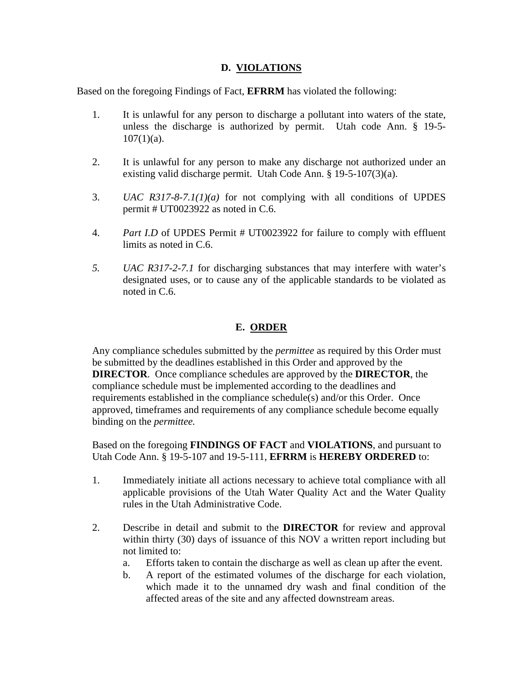#### **D. VIOLATIONS**

Based on the foregoing Findings of Fact, **EFRRM** has violated the following:

- 1. It is unlawful for any person to discharge a pollutant into waters of the state, unless the discharge is authorized by permit. Utah code Ann. § 19-5-  $107(1)(a)$ .
- 2. It is unlawful for any person to make any discharge not authorized under an existing valid discharge permit. Utah Code Ann. § 19-5-107(3)(a).
- 3. *UAC R317-8-7.1(1)(a)* for not complying with all conditions of UPDES permit # UT0023922 as noted in C.6.
- 4. *Part I.D* of UPDES Permit # UT0023922 for failure to comply with effluent limits as noted in C.6.
- *5. UAC R317-2-7.1* for discharging substances that may interfere with water's designated uses, or to cause any of the applicable standards to be violated as noted in C.6.

## **E. ORDER**

Any compliance schedules submitted by the *permittee* as required by this Order must be submitted by the deadlines established in this Order and approved by the **DIRECTOR**. Once compliance schedules are approved by the **DIRECTOR**, the compliance schedule must be implemented according to the deadlines and requirements established in the compliance schedule(s) and/or this Order. Once approved, timeframes and requirements of any compliance schedule become equally binding on the *permittee.*

Based on the foregoing **FINDINGS OF FACT** and **VIOLATIONS**, and pursuant to Utah Code Ann. § 19-5-107 and 19-5-111, **EFRRM** is **HEREBY ORDERED** to:

- 1. Immediately initiate all actions necessary to achieve total compliance with all applicable provisions of the Utah Water Quality Act and the Water Quality rules in the Utah Administrative Code.
- 2. Describe in detail and submit to the **DIRECTOR** for review and approval within thirty (30) days of issuance of this NOV a written report including but not limited to:
	- a. Efforts taken to contain the discharge as well as clean up after the event.
	- b. A report of the estimated volumes of the discharge for each violation, which made it to the unnamed dry wash and final condition of the affected areas of the site and any affected downstream areas.